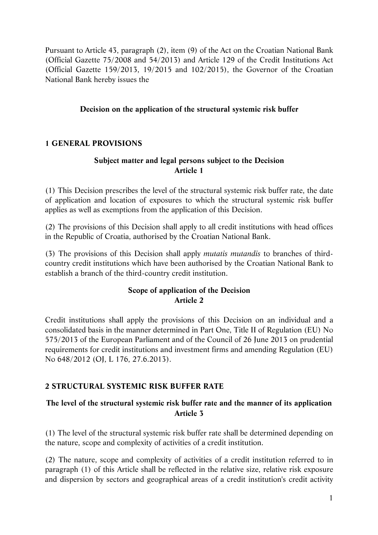Pursuant to Article 43, paragraph (2), item (9) of the Act on the Croatian National Bank (Official Gazette 75/2008 and 54/2013) and Article 129 of the Credit Institutions Act (Official Gazette 159/2013, 19/2015 and 102/2015), the Governor of the Croatian National Bank hereby issues the

### **Decision on the application of the structural systemic risk buffer**

## **1 GENERAL PROVISIONS**

### **Subject matter and legal persons subject to the Decision Article 1**

(1) This Decision prescribes the level of the structural systemic risk buffer rate, the date of application and location of exposures to which the structural systemic risk buffer applies as well as exemptions from the application of this Decision.

(2) The provisions of this Decision shall apply to all credit institutions with head offices in the Republic of Croatia, authorised by the Croatian National Bank.

(3) The provisions of this Decision shall apply *mutatis mutandis* to branches of thirdcountry credit institutions which have been authorised by the Croatian National Bank to establish a branch of the third-country credit institution.

## **Scope of application of the Decision Article 2**

Credit institutions shall apply the provisions of this Decision on an individual and a consolidated basis in the manner determined in Part One, Title II of Regulation (EU) No 575/2013 of the European Parliament and of the Council of 26 June 2013 on prudential requirements for credit institutions and investment firms and amending Regulation (EU) No 648/2012 (OJ, L 176, 27.6.2013).

# **2 STRUCTURAL SYSTEMIC RISK BUFFER RATE**

## **The level of the structural systemic risk buffer rate and the manner of its application Article 3**

(1) The level of the structural systemic risk buffer rate shall be determined depending on the nature, scope and complexity of activities of a credit institution.

(2) The nature, scope and complexity of activities of a credit institution referred to in paragraph (1) of this Article shall be reflected in the relative size, relative risk exposure and dispersion by sectors and geographical areas of a credit institution's credit activity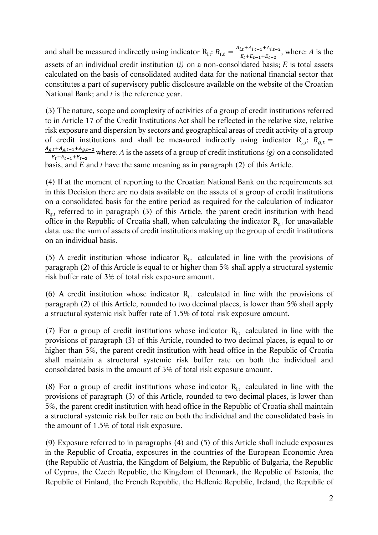and shall be measured indirectly using indicator  $R_{i,t}$ :  $R_{i,t} = \frac{A_{i,t} + A_{i,t-1} + A_{i,t-2}}{E_t + E_{t-1} + E_{t-2}}$ , where: *A* is the assets of an individual credit institution (*i)* on a non-consolidated basis; *E* is total assets calculated on the basis of consolidated audited data for the national financial sector that constitutes a part of supervisory public disclosure available on the website of the Croatian National Bank; and *t* is the reference year.

(3) The nature, scope and complexity of activities of a group of credit institutions referred to in Article 17 of the Credit Institutions Act shall be reflected in the relative size, relative risk exposure and dispersion by sectors and geographical areas of credit activity of a group of credit institutions and shall be measured indirectly using indicator  $R_{g,t}$ :  $R_{g,t}$  =  $A_{g,t} + A_{g,t-1} + A_{g,t-2}$  $\frac{(x+Ag,t-1+Ag,t-2)}{E_t+E_{t-1}+E_{t-2}}$  where: A is the assets of a group of credit institutions *(g)* on a consolidated basis, and *E* and *t* have the same meaning as in paragraph (2) of this Article.

(4) If at the moment of reporting to the Croatian National Bank on the requirements set in this Decision there are no data available on the assets of a group of credit institutions on a consolidated basis for the entire period as required for the calculation of indicator  $R_{\sigma t}$  referred to in paragraph (3) of this Article, the parent credit institution with head office in the Republic of Croatia shall, when calculating the indicator  $R_{g,t}$  for unavailable data, use the sum of assets of credit institutions making up the group of credit institutions on an individual basis.

(5) A credit institution whose indicator  $R<sub>it</sub>$  calculated in line with the provisions of paragraph (2) of this Article is equal to or higher than 5% shall apply a structural systemic risk buffer rate of 3% of total risk exposure amount.

(6) A credit institution whose indicator  $R_{i,t}$  calculated in line with the provisions of paragraph (2) of this Article, rounded to two decimal places, is lower than 5% shall apply a structural systemic risk buffer rate of 1.5% of total risk exposure amount.

(7) For a group of credit institutions whose indicator  $R_{i,t}$  calculated in line with the provisions of paragraph (3) of this Article, rounded to two decimal places, is equal to or higher than 5%, the parent credit institution with head office in the Republic of Croatia shall maintain a structural systemic risk buffer rate on both the individual and consolidated basis in the amount of 3% of total risk exposure amount.

(8) For a group of credit institutions whose indicator  $R_{i,t}$  calculated in line with the provisions of paragraph (3) of this Article, rounded to two decimal places, is lower than 5%, the parent credit institution with head office in the Republic of Croatia shall maintain a structural systemic risk buffer rate on both the individual and the consolidated basis in the amount of 1.5% of total risk exposure.

(9) Exposure referred to in paragraphs (4) and (5) of this Article shall include exposures in the Republic of Croatia, exposures in the countries of the European Economic Area (the Republic of Austria, the Kingdom of Belgium, the Republic of Bulgaria, the Republic of Cyprus, the Czech Republic, the Kingdom of Denmark, the Republic of Estonia, the Republic of Finland, the French Republic, the Hellenic Republic, Ireland, the Republic of